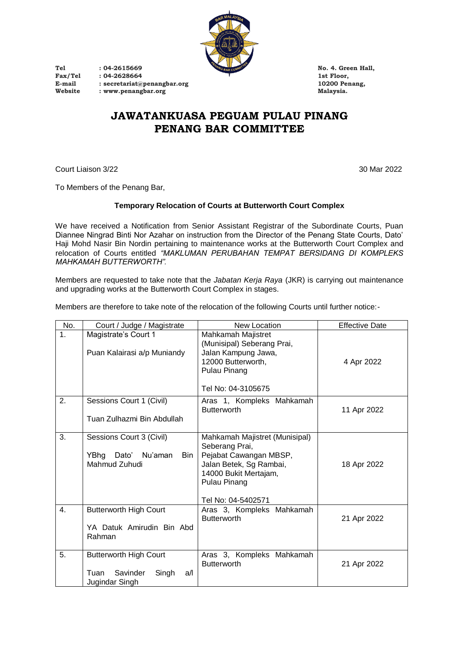

**Tel : 04-2615669 No. 4. Green Hall,** Fax/Tel : 04-2628664 **1st Floor,**<br>
E-mail : secretariat@penangbar.org 10200 Penang, **E-mail : secretariat@penangbar.org 10200 Penang, Website : www.penangbar.org Malaysia.**

## **JAWATANKUASA PEGUAM PULAU PINANG PENANG BAR COMMITTEE**

Court Liaison 3/22 30 Mar 2022

To Members of the Penang Bar,

#### **Temporary Relocation of Courts at Butterworth Court Complex**

We have received a Notification from Senior Assistant Registrar of the Subordinate Courts, Puan Diannee Ningrad Binti Nor Azahar on instruction from the Director of the Penang State Courts, Dato' Haji Mohd Nasir Bin Nordin pertaining to maintenance works at the Butterworth Court Complex and relocation of Courts entitled *"MAKLUMAN PERUBAHAN TEMPAT BERSIDANG DI KOMPLEKS MAHKAMAH BUTTERWORTH".*

Members are requested to take note that the *Jabatan Kerja Raya* (JKR) is carrying out maintenance and upgrading works at the Butterworth Court Complex in stages.

Members are therefore to take note of the relocation of the following Courts until further notice:-

| No.              | Court / Judge / Magistrate                                                          | <b>New Location</b>                                                                                                                                                  | <b>Effective Date</b> |
|------------------|-------------------------------------------------------------------------------------|----------------------------------------------------------------------------------------------------------------------------------------------------------------------|-----------------------|
| $\overline{1}$ . | Magistrate's Court 1<br>Puan Kalairasi a/p Muniandy                                 | Mahkamah Majistret<br>(Munisipal) Seberang Prai,<br>Jalan Kampung Jawa,<br>12000 Butterworth,<br>Pulau Pinang<br>Tel No: 04-3105675                                  | 4 Apr 2022            |
| 2.               | Sessions Court 1 (Civil)<br>Tuan Zulhazmi Bin Abdullah                              | Aras 1, Kompleks Mahkamah<br><b>Butterworth</b>                                                                                                                      | 11 Apr 2022           |
| 3.               | Sessions Court 3 (Civil)<br>Dato'<br>YBhg<br>Nu'aman<br>Bin<br>Mahmud Zuhudi        | Mahkamah Majistret (Munisipal)<br>Seberang Prai,<br>Pejabat Cawangan MBSP,<br>Jalan Betek, Sg Rambai,<br>14000 Bukit Mertajam,<br>Pulau Pinang<br>Tel No: 04-5402571 | 18 Apr 2022           |
| 4.               | <b>Butterworth High Court</b><br>YA Datuk Amirudin Bin Abd<br>Rahman                | Aras 3, Kompleks Mahkamah<br><b>Butterworth</b>                                                                                                                      | 21 Apr 2022           |
| 5.               | <b>Butterworth High Court</b><br>Savinder<br>Singh<br>Tuan<br>a/l<br>Jugindar Singh | Aras 3, Kompleks Mahkamah<br><b>Butterworth</b>                                                                                                                      | 21 Apr 2022           |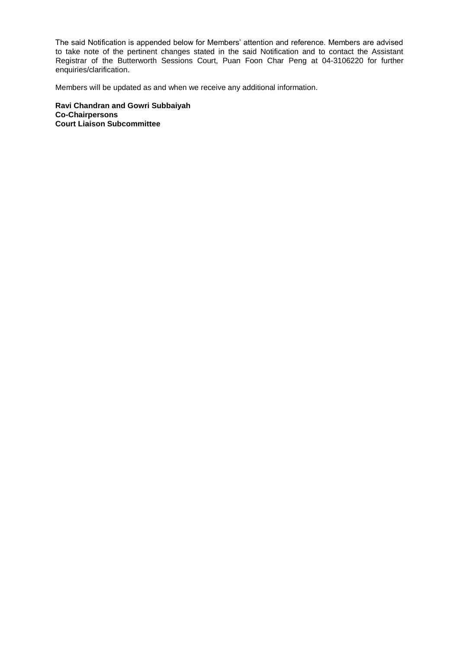The said Notification is appended below for Members' attention and reference. Members are advised to take note of the pertinent changes stated in the said Notification and to contact the Assistant Registrar of the Butterworth Sessions Court, Puan Foon Char Peng at 04-3106220 for further enquiries/clarification.

Members will be updated as and when we receive any additional information.

**Ravi Chandran and Gowri Subbaiyah Co-Chairpersons Court Liaison Subcommittee**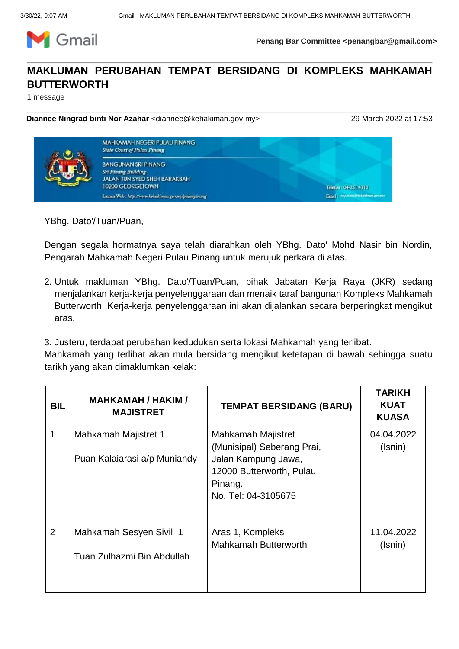

**Penang Bar Committee <penangbar@gmail.com>**

# **MAKLUMAN PERUBAHAN TEMPAT BERSIDANG DI KOMPLEKS MAHKAMAH BUTTERWORTH**

1 message

**Diannee Ningrad binti Nor Azahar** <diannee@kehakiman.gov.my> 29 March 2022 at 17:53



YBhg. Dato'/Tuan/Puan,

Dengan segala hormatnya saya telah diarahkan oleh YBhg. Dato' Mohd Nasir bin Nordin, Pengarah Mahkamah Negeri Pulau Pinang untuk merujuk perkara di atas.

2. Untuk makluman YBhg. Dato'/Tuan/Puan, pihak Jabatan Kerja Raya (JKR) sedang menjalankan kerja-kerja penyelenggaraan dan menaik taraf bangunan Kompleks Mahkamah Butterworth. Kerja-kerja penyelenggaraan ini akan dijalankan secara berperingkat mengikut aras.

3. Justeru, terdapat perubahan kedudukan serta lokasi Mahkamah yang terlibat.

Mahkamah yang terlibat akan mula bersidang mengikut ketetapan di bawah sehingga suatu tarikh yang akan dimaklumkan kelak:

| BIL            | <b>MAHKAMAH / HAKIM /</b><br><b>MAJISTRET</b>         | <b>TEMPAT BERSIDANG (BARU)</b>                                                                                                        | <b>TARIKH</b><br><b>KUAT</b><br><b>KUASA</b> |
|----------------|-------------------------------------------------------|---------------------------------------------------------------------------------------------------------------------------------------|----------------------------------------------|
| 1              | Mahkamah Majistret 1<br>Puan Kalaiarasi a/p Muniandy  | Mahkamah Majistret<br>(Munisipal) Seberang Prai,<br>Jalan Kampung Jawa,<br>12000 Butterworth, Pulau<br>Pinang.<br>No. Tel: 04-3105675 | 04.04.2022<br>(Isnin)                        |
| $\overline{2}$ | Mahkamah Sesyen Sivil 1<br>Tuan Zulhazmi Bin Abdullah | Aras 1, Kompleks<br><b>Mahkamah Butterworth</b>                                                                                       | 11.04.2022<br>(Isnin)                        |